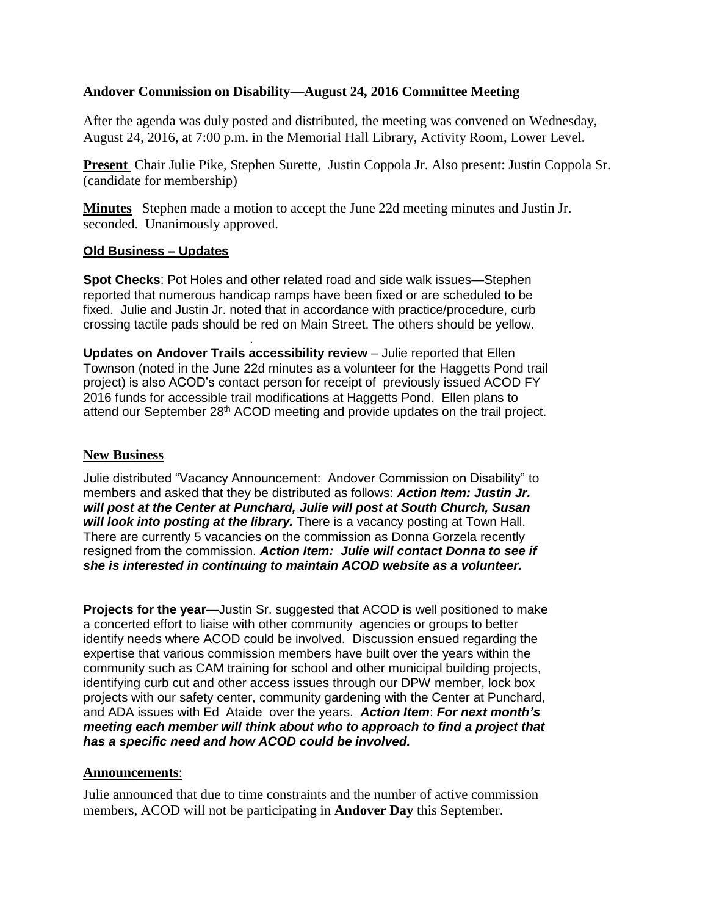## **Andover Commission on Disability—August 24, 2016 Committee Meeting**

After the agenda was duly posted and distributed, the meeting was convened on Wednesday, August 24, 2016, at 7:00 p.m. in the Memorial Hall Library, Activity Room, Lower Level.

**Present** Chair Julie Pike, Stephen Surette, Justin Coppola Jr. Also present: Justin Coppola Sr. (candidate for membership)

**Minutes** Stephen made a motion to accept the June 22d meeting minutes and Justin Jr. seconded. Unanimously approved.

## **Old Business – Updates**

**Spot Checks**: Pot Holes and other related road and side walk issues—Stephen reported that numerous handicap ramps have been fixed or are scheduled to be fixed. Julie and Justin Jr. noted that in accordance with practice/procedure, curb crossing tactile pads should be red on Main Street. The others should be yellow.

. **Updates on Andover Trails accessibility review** – Julie reported that Ellen Townson (noted in the June 22d minutes as a volunteer for the Haggetts Pond trail project) is also ACOD's contact person for receipt of previously issued ACOD FY 2016 funds for accessible trail modifications at Haggetts Pond. Ellen plans to attend our September 28<sup>th</sup> ACOD meeting and provide updates on the trail project.

## **New Business**

Julie distributed "Vacancy Announcement: Andover Commission on Disability" to members and asked that they be distributed as follows: *Action Item: Justin Jr. will post at the Center at Punchard, Julie will post at South Church, Susan will look into posting at the library.* There is a vacancy posting at Town Hall. There are currently 5 vacancies on the commission as Donna Gorzela recently resigned from the commission. *Action Item: Julie will contact Donna to see if she is interested in continuing to maintain ACOD website as a volunteer.*

**Projects for the year**—Justin Sr. suggested that ACOD is well positioned to make a concerted effort to liaise with other community agencies or groups to better identify needs where ACOD could be involved. Discussion ensued regarding the expertise that various commission members have built over the years within the community such as CAM training for school and other municipal building projects, identifying curb cut and other access issues through our DPW member, lock box projects with our safety center, community gardening with the Center at Punchard, and ADA issues with Ed Ataide over the years. *Action Item*: *For next month's meeting each member will think about who to approach to find a project that has a specific need and how ACOD could be involved.*

## **Announcements**:

Julie announced that due to time constraints and the number of active commission members, ACOD will not be participating in **Andover Day** this September.